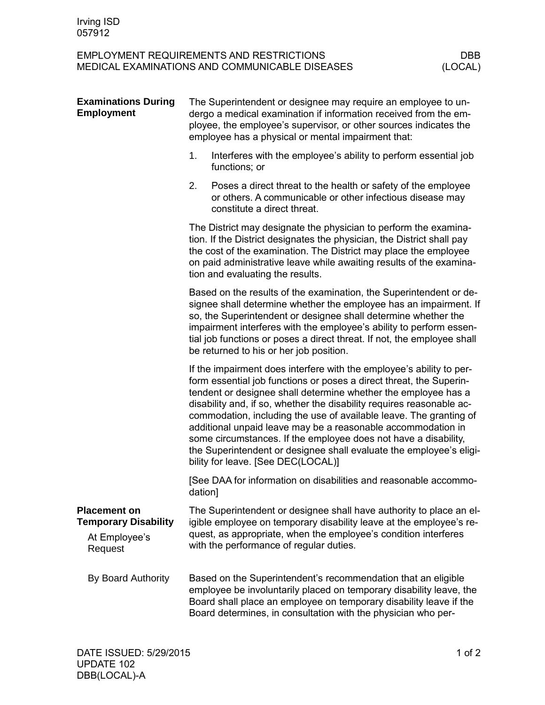## EMPLOYMENT REQUIREMENTS AND RESTRICTIONS DBB<br>MEDICAL EXAMINATIONS AND COMMUNICABLE DISEASES (LOCAL) MEDICAL EXAMINATIONS AND COMMUNICABLE DISEASES

| <b>Examinations During</b><br><b>Employment</b>                                | The Superintendent or designee may require an employee to un-<br>dergo a medical examination if information received from the em-<br>ployee, the employee's supervisor, or other sources indicates the<br>employee has a physical or mental impairment that:                                                                                                                                                                                                                                                                                                                                                 |  |
|--------------------------------------------------------------------------------|--------------------------------------------------------------------------------------------------------------------------------------------------------------------------------------------------------------------------------------------------------------------------------------------------------------------------------------------------------------------------------------------------------------------------------------------------------------------------------------------------------------------------------------------------------------------------------------------------------------|--|
|                                                                                | 1.<br>Interferes with the employee's ability to perform essential job<br>functions; or                                                                                                                                                                                                                                                                                                                                                                                                                                                                                                                       |  |
|                                                                                | 2.<br>Poses a direct threat to the health or safety of the employee<br>or others. A communicable or other infectious disease may<br>constitute a direct threat.                                                                                                                                                                                                                                                                                                                                                                                                                                              |  |
|                                                                                | The District may designate the physician to perform the examina-<br>tion. If the District designates the physician, the District shall pay<br>the cost of the examination. The District may place the employee<br>on paid administrative leave while awaiting results of the examina-<br>tion and evaluating the results.                                                                                                                                                                                                                                                                                    |  |
|                                                                                | Based on the results of the examination, the Superintendent or de-<br>signee shall determine whether the employee has an impairment. If<br>so, the Superintendent or designee shall determine whether the<br>impairment interferes with the employee's ability to perform essen-<br>tial job functions or poses a direct threat. If not, the employee shall<br>be returned to his or her job position.                                                                                                                                                                                                       |  |
|                                                                                | If the impairment does interfere with the employee's ability to per-<br>form essential job functions or poses a direct threat, the Superin-<br>tendent or designee shall determine whether the employee has a<br>disability and, if so, whether the disability requires reasonable ac-<br>commodation, including the use of available leave. The granting of<br>additional unpaid leave may be a reasonable accommodation in<br>some circumstances. If the employee does not have a disability,<br>the Superintendent or designee shall evaluate the employee's eligi-<br>bility for leave. [See DEC(LOCAL)] |  |
|                                                                                | [See DAA for information on disabilities and reasonable accommo-<br>dation]                                                                                                                                                                                                                                                                                                                                                                                                                                                                                                                                  |  |
| <b>Placement on</b><br><b>Temporary Disability</b><br>At Employee's<br>Request | The Superintendent or designee shall have authority to place an el-<br>igible employee on temporary disability leave at the employee's re-<br>quest, as appropriate, when the employee's condition interferes<br>with the performance of regular duties.                                                                                                                                                                                                                                                                                                                                                     |  |
| By Board Authority                                                             | Based on the Superintendent's recommendation that an eligible<br>employee be involuntarily placed on temporary disability leave, the<br>Board shall place an employee on temporary disability leave if the<br>Board determines, in consultation with the physician who per-                                                                                                                                                                                                                                                                                                                                  |  |